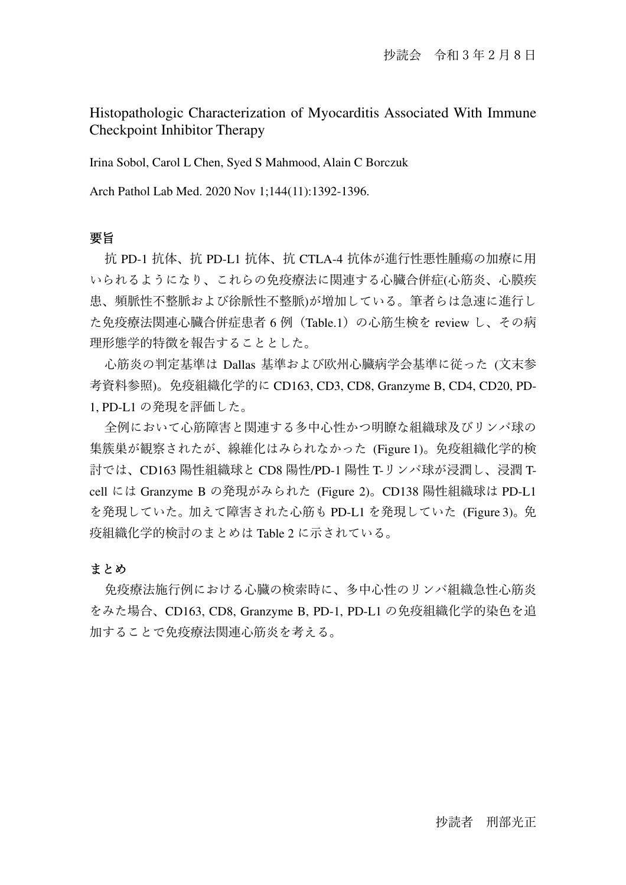Histopathologic Characterization of Myocarditis Associated With Immune Checkpoint Inhibitor Therapy

Irina Sobol, Carol L Chen, Syed S Mahmood, Alain C Borczuk

Arch Pathol Lab Med. 2020 Nov 1;144(11):1392-1396.

# 要旨

抗 PD-1 抗体、抗 PD-L1 抗体、抗 CTLA-4 抗体が進行性悪性腫瘍の加療に用 いられるようになり、これらの免疫療法に関連する心臓合併症(心筋炎、心膜疾 患、頻脈性不整脈および徐脈性不整脈)が増加している。筆者らは急速に進行し た免疫療法関連心臓合併症患者 6 例 (Table.1) の心筋生検を review し、その病 理形態学的特徴を報告することとした。

心筋炎の判定基準は Dallas 基準および欧州心臓病学会基準に従った (文末参 考資料参照)。免疫組織化学的に CD163, CD3, CD8, Granzyme B, CD4, CD20, PD-1, PD-L1 の発現を評価した。

全例において心筋障害と関連する多中心性かつ明瞭な組織球及びリンパ球の 集簇巣が観察されたが、線維化はみられなかった (Figure 1)。免疫組織化学的検 討では、CD163 陽性組織球と CD8 陽性/PD-1 陽性 T-リンパ球が浸潤し、浸潤 Tcell には Granzyme B の発現がみられた (Figure 2)。CD138 陽性組織球は PD-L1 を発現していた。加えて障害された心筋も PD-L1 を発現していた (Figure 3)。免 疫組織化学的検討のまとめは Table 2 に示されている。

## まとめ

免疫療法施行例における心臓の検索時に、多中心性のリンパ組織急性心筋炎 をみた場合、CD163, CD8, Granzyme B, PD-1, PD-L1 の免疫組織化学的染色を追 加することで免疫療法関連心筋炎を考える。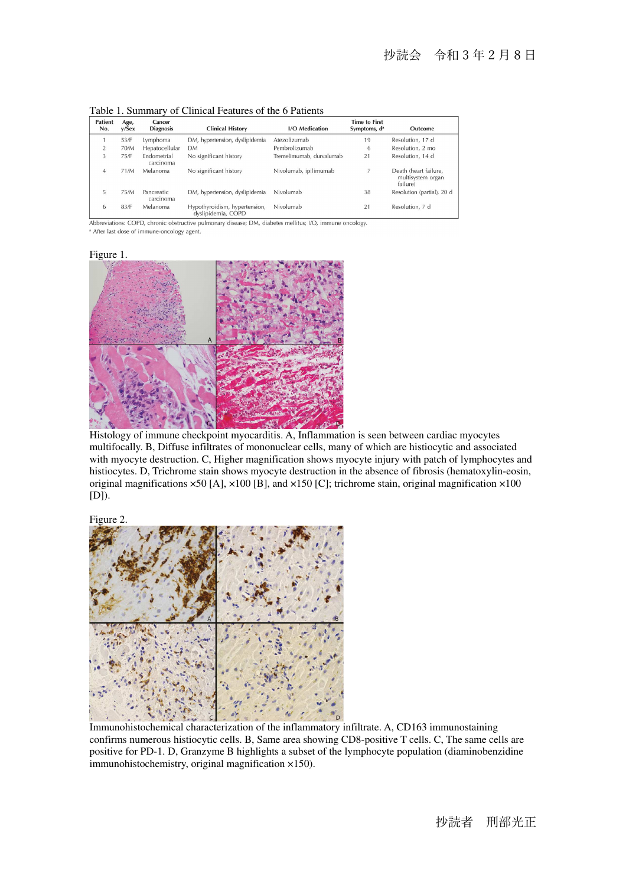| Patient        | Age,     | Cancer                   |                                                     |                          | <b>Time to First</b>     |                                                        |  |
|----------------|----------|--------------------------|-----------------------------------------------------|--------------------------|--------------------------|--------------------------------------------------------|--|
| No.            | $v/$ Sex | <b>Diagnosis</b>         | <b>Clinical History</b>                             | I/O Medication           | Symptoms, d <sup>a</sup> | Outcome                                                |  |
|                | 53/F     | Lymphoma                 | DM, hypertension, dyslipidemia                      | Atezolizumab             | 19                       | Resolution, 17 d                                       |  |
| $\overline{2}$ | 70/M     | Hepatocellular           | DM.                                                 | Pembrolizumab            | 6                        | Resolution, 2 mo                                       |  |
| 3              | 75/F     | Endometrial<br>carcinoma | No significant history                              | Tremelimumab, durvalumab | 21                       | Resolution, 14 d                                       |  |
| 4              | 71/M     | Melanoma                 | No significant history                              | Nivolumab, ipilimumab    |                          | Death (heart failure,<br>multisystem organ<br>failure) |  |
| 5              | 75/M     | Pancreatic<br>carcinoma  | DM, hypertension, dyslipidemia                      | Nivolumab                | 38                       | Resolution (partial), 20 d                             |  |
| 6              | 83/F     | Melanoma                 | Hypothyroidism, hypertension,<br>dyslipidemia, COPD | Nivolumab                | 21                       | Resolution, 7 d                                        |  |

Table 1. Summary of Clinical Features of the 6 Patients

Abbreviations: COPD, chronic obstructive pulmonary disease; DM, diabetes mellitus; I/O, immune oncology.

<sup>a</sup> After last dose of immune-oncology agent.





Histology of immune checkpoint myocarditis. A, Inflammation is seen between cardiac myocytes multifocally. B, Diffuse infiltrates of mononuclear cells, many of which are histiocytic and associated with myocyte destruction. C, Higher magnification shows myocyte injury with patch of lymphocytes and histiocytes. D, Trichrome stain shows myocyte destruction in the absence of fibrosis (hematoxylin-eosin, original magnifications ×50 [A], ×100 [B], and ×150 [C]; trichrome stain, original magnification ×100  $[D]$ ).

Figure 2.



Immunohistochemical characterization of the inflammatory infiltrate. A, CD163 immunostaining confirms numerous histiocytic cells. B, Same area showing CD8-positive T cells. C, The same cells are positive for PD-1. D, Granzyme B highlights a subset of the lymphocyte population (diaminobenzidine immunohistochemistry, original magnification ×150).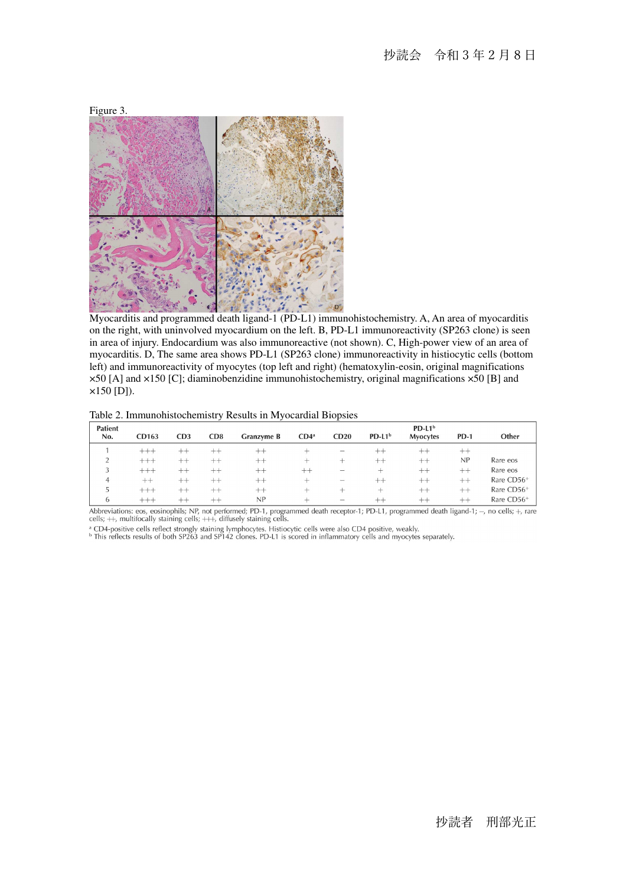

Myocarditis and programmed death ligand-1 (PD-L1) immunohistochemistry. A, An area of myocarditis on the right, with uninvolved myocardium on the left. B, PD-L1 immunoreactivity (SP263 clone) is seen in area of injury. Endocardium was also immunoreactive (not shown). C, High-power view of an area of myocarditis. D, The same area shows PD-L1 (SP263 clone) immunoreactivity in histiocytic cells (bottom left) and immunoreactivity of myocytes (top left and right) (hematoxylin-eosin, original magnifications ×50 [A] and ×150 [C]; diaminobenzidine immunohistochemistry, original magnifications ×50 [B] and  $\times 150$  [D]).

| Table 2. Immunohistochemistry Results in Myocardial Biopsies |  |  |
|--------------------------------------------------------------|--|--|
|--------------------------------------------------------------|--|--|

| <b>Patient</b> |          |           |         |                   |                          |                          |                          | $PD-L1b$        |             |                        |
|----------------|----------|-----------|---------|-------------------|--------------------------|--------------------------|--------------------------|-----------------|-------------|------------------------|
| No.            | CD163    | CD3       | CD8     | <b>Granzyme B</b> | $CD4^a$                  | CD20                     | $PD-L1b$                 | <b>Myocytes</b> | <b>PD-1</b> | Other                  |
|                | $^{+++}$ | ---       | ---     | $^{++}$           | $^+$                     | $\overline{\phantom{m}}$ | $++$                     | $^{++}$         | $^{++}$     |                        |
| ∽              | $^{+++}$ | ---       | $++$    | $++$              | $^+$                     | $\overline{\phantom{0}}$ | $++$                     | $++$            | NP          | Rare eos               |
| $\cdot$        | $+++$    | ---       | ---     | $+ +$             | $+ +$                    | $\overline{\phantom{a}}$ | $-1$                     | $^{++}$         | $++$        | Rare eos               |
| 4              | $+ +$    | $^{++}$   | $++$    | $++$              | $\overline{\phantom{0}}$ | $\overline{\phantom{a}}$ | $++$                     | $++$            | $++$        | Rare CD56 <sup>+</sup> |
| $\mathcal{L}$  | $+++$    | $^{++}$   | $^{++}$ | $++$              | $^+$                     | ÷                        | $\overline{\phantom{0}}$ | $^{++}$         | $++$        | Rare CD56 <sup>+</sup> |
| 6              | $^{+++}$ | when when | min min | NP                | $\!$                     | -                        | $^{++}$                  | ---             | $^{++}$     | Rare CD56 <sup>+</sup> |

Abbreviations: eos, eosinophils; NP, not performed; PD-1, programmed death receptor-1; PD-L1, programmed death ligand-1; -, no cells; +, rare cells; +, rare cells; +, rare cells; +, rare cells; +, rare cells; +, rare cells

<sup>a</sup> CD4-positive cells reflect strongly staining lymphocytes. Histiocytic cells were also CD4 positive, weakly.<br><sup>b</sup> This reflects results of both SP263 and SP142 clones. PD-L1 is scored in inflammatory cells and myocytes s